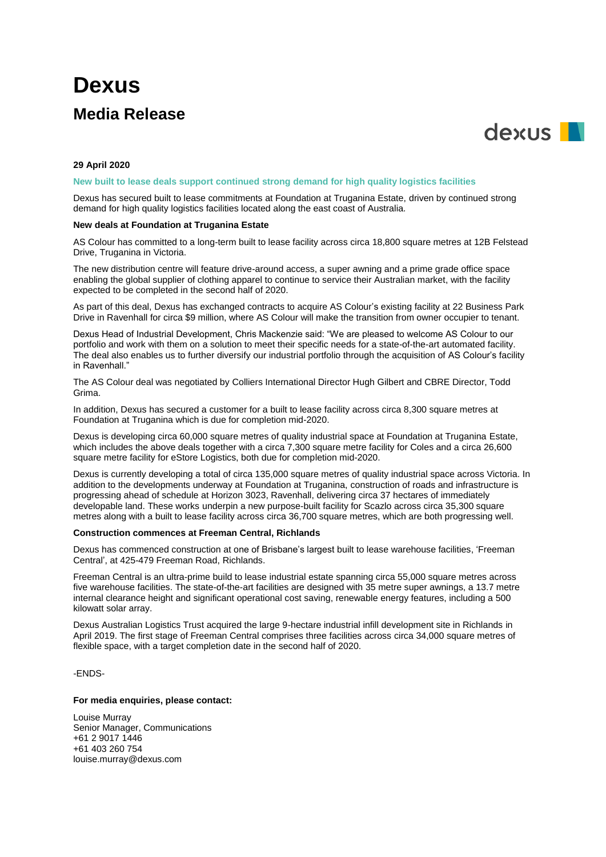# **Dexus Media Release**



# **29 April 2020**

#### **New built to lease deals support continued strong demand for high quality logistics facilities**

Dexus has secured built to lease commitments at Foundation at Truganina Estate, driven by continued strong demand for high quality logistics facilities located along the east coast of Australia.

# **New deals at Foundation at Truganina Estate**

AS Colour has committed to a long-term built to lease facility across circa 18,800 square metres at 12B Felstead Drive, Truganina in Victoria.

The new distribution centre will feature drive-around access, a super awning and a prime grade office space enabling the global supplier of clothing apparel to continue to service their Australian market, with the facility expected to be completed in the second half of 2020.

As part of this deal, Dexus has exchanged contracts to acquire AS Colour's existing facility at 22 Business Park Drive in Ravenhall for circa \$9 million, where AS Colour will make the transition from owner occupier to tenant.

Dexus Head of Industrial Development, Chris Mackenzie said: "We are pleased to welcome AS Colour to our portfolio and work with them on a solution to meet their specific needs for a state-of-the-art automated facility. The deal also enables us to further diversify our industrial portfolio through the acquisition of AS Colour's facility in Ravenhall."

The AS Colour deal was negotiated by Colliers International Director Hugh Gilbert and CBRE Director, Todd Grima.

In addition, Dexus has secured a customer for a built to lease facility across circa 8,300 square metres at Foundation at Truganina which is due for completion mid-2020.

Dexus is developing circa 60,000 square metres of quality industrial space at Foundation at Truganina Estate, which includes the above deals together with a circa 7,300 square metre facility for Coles and a circa 26,600 square metre facility for eStore Logistics, both due for completion mid-2020.

Dexus is currently developing a total of circa 135,000 square metres of quality industrial space across Victoria. In addition to the developments underway at Foundation at Truganina, construction of roads and infrastructure is progressing ahead of schedule at Horizon 3023, Ravenhall, delivering circa 37 hectares of immediately developable land. These works underpin a new purpose-built facility for Scazlo across circa 35,300 square metres along with a built to lease facility across circa 36,700 square metres, which are both progressing well.

#### **Construction commences at Freeman Central, Richlands**

Dexus has commenced construction at one of Brisbane's largest built to lease warehouse facilities, 'Freeman Central', at 425-479 Freeman Road, Richlands.

Freeman Central is an ultra-prime build to lease industrial estate spanning circa 55,000 square metres across five warehouse facilities. The state-of-the-art facilities are designed with 35 metre super awnings, a 13.7 metre internal clearance height and significant operational cost saving, renewable energy features, including a 500 kilowatt solar array.

Dexus Australian Logistics Trust acquired the large 9-hectare industrial infill development site in Richlands in April 2019. The first stage of Freeman Central comprises three facilities across circa 34,000 square metres of flexible space, with a target completion date in the second half of 2020.

## -ENDS-

## **For media enquiries, please contact:**

Louise Murray Senior Manager, Communications +61 2 9017 1446 +61 403 260 754 louise.murray@dexus.com